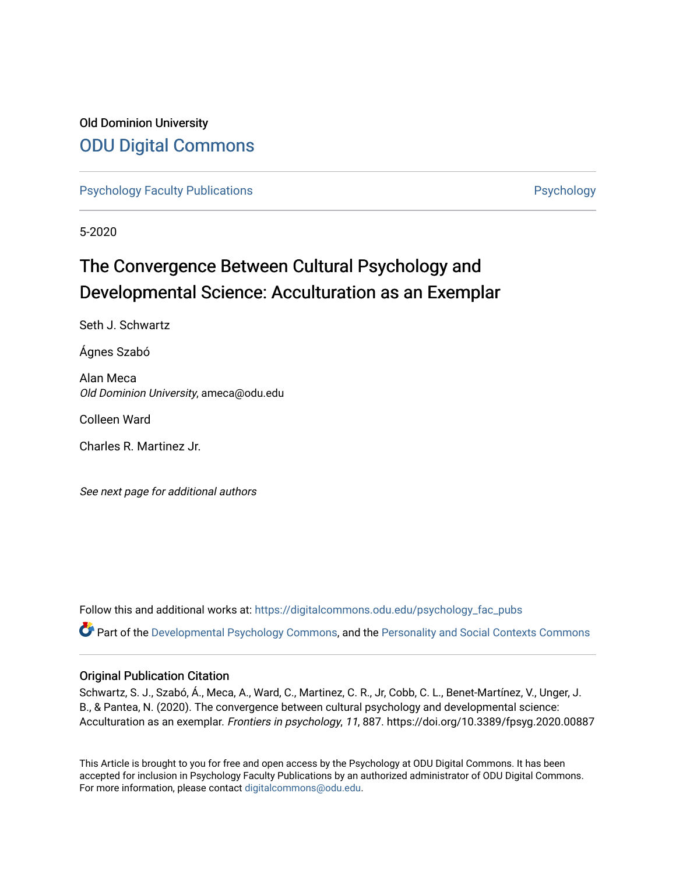# Old Dominion University [ODU Digital Commons](https://digitalcommons.odu.edu/)

[Psychology Faculty Publications](https://digitalcommons.odu.edu/psychology_fac_pubs) **Provides** [Psychology](https://digitalcommons.odu.edu/psychology) **Psychology** 

5-2020

# The Convergence Between Cultural Psychology and Developmental Science: Acculturation as an Exemplar

Seth J. Schwartz

Ágnes Szabó

Alan Meca Old Dominion University, ameca@odu.edu

Colleen Ward

Charles R. Martinez Jr.

See next page for additional authors

Follow this and additional works at: [https://digitalcommons.odu.edu/psychology\\_fac\\_pubs](https://digitalcommons.odu.edu/psychology_fac_pubs?utm_source=digitalcommons.odu.edu%2Fpsychology_fac_pubs%2F104&utm_medium=PDF&utm_campaign=PDFCoverPages)

 $\bullet$  Part of the [Developmental Psychology Commons,](http://network.bepress.com/hgg/discipline/410?utm_source=digitalcommons.odu.edu%2Fpsychology_fac_pubs%2F104&utm_medium=PDF&utm_campaign=PDFCoverPages) and the Personality and Social Contexts Commons

#### Original Publication Citation

Schwartz, S. J., Szabó, Á., Meca, A., Ward, C., Martinez, C. R., Jr, Cobb, C. L., Benet-Martínez, V., Unger, J. B., & Pantea, N. (2020). The convergence between cultural psychology and developmental science: Acculturation as an exemplar. Frontiers in psychology, 11, 887. https://doi.org/10.3389/fpsyg.2020.00887

This Article is brought to you for free and open access by the Psychology at ODU Digital Commons. It has been accepted for inclusion in Psychology Faculty Publications by an authorized administrator of ODU Digital Commons. For more information, please contact [digitalcommons@odu.edu](mailto:digitalcommons@odu.edu).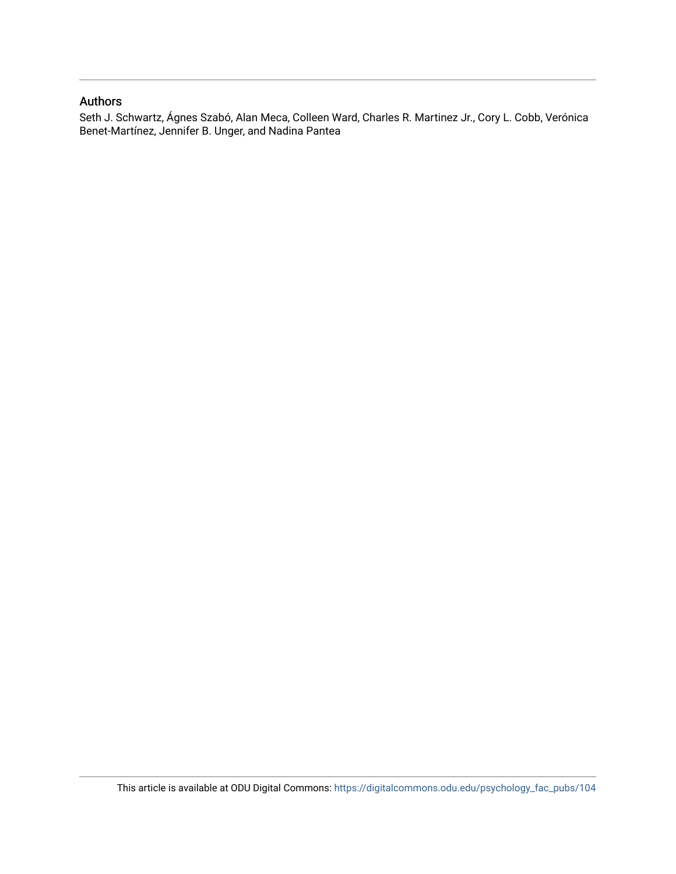#### Authors

Seth J. Schwartz, Ágnes Szabó, Alan Meca, Colleen Ward, Charles R. Martinez Jr., Cory L. Cobb, Verónica Benet-Martínez, Jennifer B. Unger, and Nadina Pantea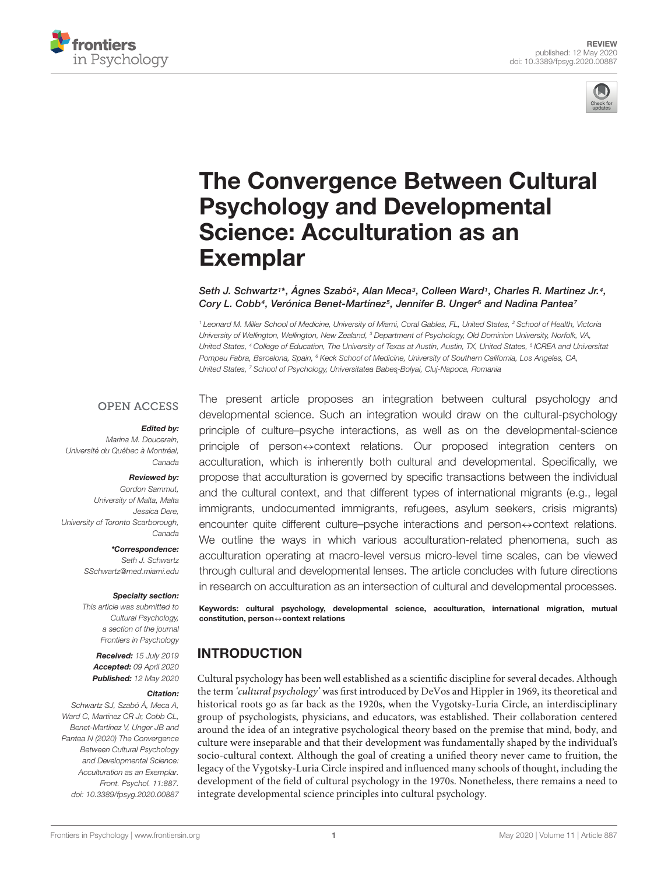



# [The Convergence Between Cultural](https://www.frontiersin.org/articles/10.3389/fpsyg.2020.00887/full) Psychology and Developmental Science: Acculturation as an **Exemplar**

[Seth J. Schwartz](http://loop.frontiersin.org/people/697981/overview)1\*, Agnes Szabó<sup>2</sup>, Alan Meca<sup>3</sup>, [Colleen Ward](http://loop.frontiersin.org/people/809281/overview)1, Charles R. Martinez Jr.4, Cory L. Cobb<sup>4</sup>, [Verónica Benet-Martínez](http://loop.frontiersin.org/people/240584/overview)<sup>5</sup>, Jennifer B. Unger<sup>6</sup> and [Nadina Pantea](http://loop.frontiersin.org/people/773359/overview)<sup>7</sup>

<sup>1</sup> Leonard M. Miller School of Medicine, University of Miami, Coral Gables, FL, United States, <sup>2</sup> School of Health, Victoria University of Wellington, Wellington, New Zealand, <sup>3</sup> Department of Psychology, Old Dominion University, Norfolk, VA, United States, <sup>4</sup> College of Education, The University of Texas at Austin, Austin, TX, United States, <sup>5</sup> ICREA and Universitat Pompeu Fabra, Barcelona, Spain, <sup>6</sup> Keck School of Medicine, University of Southern California, Los Angeles, CA, United States, <sup>7</sup> School of Psychology, Universitatea Babes-Bolyai, Cluj-Napoca, Romania

#### **OPEN ACCESS**

#### Edited by:

Marina M. Doucerain, Université du Québec à Montréal, Canada

#### Reviewed by:

Gordon Sammut, University of Malta, Malta Jessica Dere, University of Toronto Scarborough, Canada

> \*Correspondence: Seth J. Schwartz SSchwartz@med.miami.edu

#### Specialty section:

This article was submitted to Cultural Psychology, a section of the journal Frontiers in Psychology

Received: 15 July 2019 Accepted: 09 April 2020 Published: 12 May 2020

#### Citation:

Schwartz SJ, Szabó Á, Meca A, Ward C, Martinez CR Jr, Cobb CL, Benet-Martínez V, Unger JB and Pantea N (2020) The Convergence Between Cultural Psychology and Developmental Science: Acculturation as an Exemplar. Front. Psychol. 11:887. doi: [10.3389/fpsyg.2020.00887](https://doi.org/10.3389/fpsyg.2020.00887)

The present article proposes an integration between cultural psychology and developmental science. Such an integration would draw on the cultural-psychology principle of culture–psyche interactions, as well as on the developmental-science principle of person↔context relations. Our proposed integration centers on acculturation, which is inherently both cultural and developmental. Specifically, we propose that acculturation is governed by specific transactions between the individual and the cultural context, and that different types of international migrants (e.g., legal immigrants, undocumented immigrants, refugees, asylum seekers, crisis migrants) encounter quite different culture–psyche interactions and person⇔context relations. We outline the ways in which various acculturation-related phenomena, such as acculturation operating at macro-level versus micro-level time scales, can be viewed through cultural and developmental lenses. The article concludes with future directions in research on acculturation as an intersection of cultural and developmental processes.

Keywords: cultural psychology, developmental science, acculturation, international migration, mutual constitution, person↔context relations

# **INTRODUCTION**

Cultural psychology has been well established as a scientific discipline for several decades. Although the term 'cultural psychology' was first introduced by DeVos and Hippler in 1969, its theoretical and historical roots go as far back as the 1920s, when the Vygotsky-Luria Circle, an interdisciplinary group of psychologists, physicians, and educators, was established. Their collaboration centered around the idea of an integrative psychological theory based on the premise that mind, body, and culture were inseparable and that their development was fundamentally shaped by the individual's socio-cultural context. Although the goal of creating a unified theory never came to fruition, the legacy of the Vygotsky-Luria Circle inspired and influenced many schools of thought, including the development of the field of cultural psychology in the 1970s. Nonetheless, there remains a need to integrate developmental science principles into cultural psychology.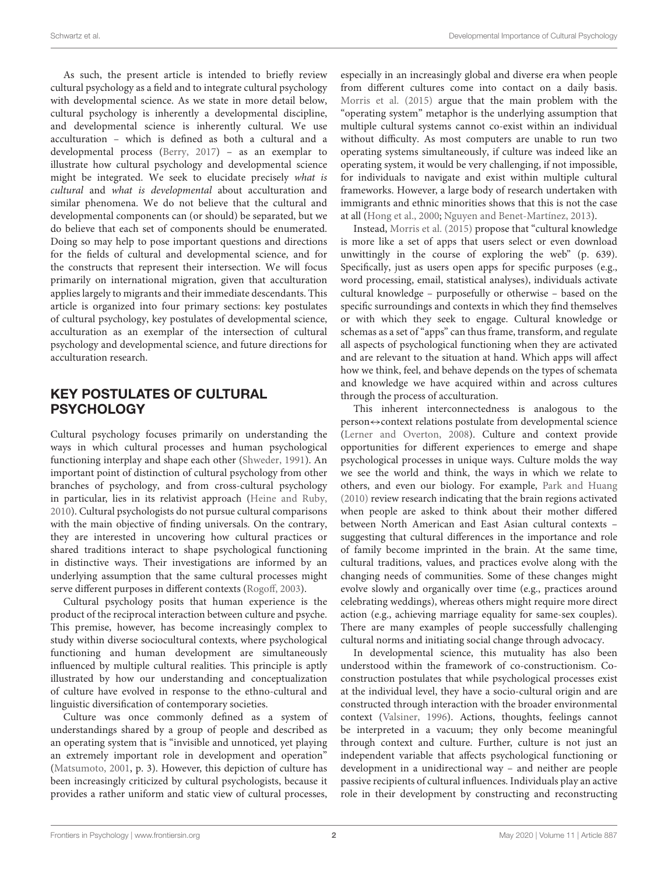As such, the present article is intended to briefly review cultural psychology as a field and to integrate cultural psychology with developmental science. As we state in more detail below, cultural psychology is inherently a developmental discipline, and developmental science is inherently cultural. We use acculturation – which is defined as both a cultural and a developmental process [\(Berry,](#page-10-0) [2017\)](#page-10-0) – as an exemplar to illustrate how cultural psychology and developmental science might be integrated. We seek to elucidate precisely what is cultural and what is developmental about acculturation and similar phenomena. We do not believe that the cultural and developmental components can (or should) be separated, but we do believe that each set of components should be enumerated. Doing so may help to pose important questions and directions for the fields of cultural and developmental science, and for the constructs that represent their intersection. We will focus primarily on international migration, given that acculturation applies largely to migrants and their immediate descendants. This article is organized into four primary sections: key postulates of cultural psychology, key postulates of developmental science, acculturation as an exemplar of the intersection of cultural psychology and developmental science, and future directions for acculturation research.

# KEY POSTULATES OF CULTURAL **PSYCHOLOGY**

Cultural psychology focuses primarily on understanding the ways in which cultural processes and human psychological functioning interplay and shape each other [\(Shweder,](#page-12-0) [1991\)](#page-12-0). An important point of distinction of cultural psychology from other branches of psychology, and from cross-cultural psychology in particular, lies in its relativist approach [\(Heine and Ruby,](#page-11-0) [2010\)](#page-11-0). Cultural psychologists do not pursue cultural comparisons with the main objective of finding universals. On the contrary, they are interested in uncovering how cultural practices or shared traditions interact to shape psychological functioning in distinctive ways. Their investigations are informed by an underlying assumption that the same cultural processes might serve different purposes in different contexts [\(Rogoff,](#page-12-1) [2003\)](#page-12-1).

Cultural psychology posits that human experience is the product of the reciprocal interaction between culture and psyche. This premise, however, has become increasingly complex to study within diverse sociocultural contexts, where psychological functioning and human development are simultaneously influenced by multiple cultural realities. This principle is aptly illustrated by how our understanding and conceptualization of culture have evolved in response to the ethno-cultural and linguistic diversification of contemporary societies.

Culture was once commonly defined as a system of understandings shared by a group of people and described as an operating system that is "invisible and unnoticed, yet playing an extremely important role in development and operation" [\(Matsumoto,](#page-11-1) [2001,](#page-11-1) p. 3). However, this depiction of culture has been increasingly criticized by cultural psychologists, because it provides a rather uniform and static view of cultural processes,

especially in an increasingly global and diverse era when people from different cultures come into contact on a daily basis. [Morris et al.](#page-11-2) [\(2015\)](#page-11-2) argue that the main problem with the "operating system" metaphor is the underlying assumption that multiple cultural systems cannot co-exist within an individual without difficulty. As most computers are unable to run two operating systems simultaneously, if culture was indeed like an operating system, it would be very challenging, if not impossible, for individuals to navigate and exist within multiple cultural frameworks. However, a large body of research undertaken with immigrants and ethnic minorities shows that this is not the case at all [\(Hong et al.,](#page-11-3) [2000;](#page-11-3) [Nguyen and Benet-Martínez,](#page-11-4) [2013\)](#page-11-4).

Instead, [Morris et al.](#page-11-2) [\(2015\)](#page-11-2) propose that "cultural knowledge is more like a set of apps that users select or even download unwittingly in the course of exploring the web" (p. 639). Specifically, just as users open apps for specific purposes (e.g., word processing, email, statistical analyses), individuals activate cultural knowledge – purposefully or otherwise – based on the specific surroundings and contexts in which they find themselves or with which they seek to engage. Cultural knowledge or schemas as a set of "apps" can thus frame, transform, and regulate all aspects of psychological functioning when they are activated and are relevant to the situation at hand. Which apps will affect how we think, feel, and behave depends on the types of schemata and knowledge we have acquired within and across cultures through the process of acculturation.

This inherent interconnectedness is analogous to the person⇔context relations postulate from developmental science [\(Lerner and Overton,](#page-11-5) [2008\)](#page-11-5). Culture and context provide opportunities for different experiences to emerge and shape psychological processes in unique ways. Culture molds the way we see the world and think, the ways in which we relate to others, and even our biology. For example, [Park and Huang](#page-12-2) [\(2010\)](#page-12-2) review research indicating that the brain regions activated when people are asked to think about their mother differed between North American and East Asian cultural contexts – suggesting that cultural differences in the importance and role of family become imprinted in the brain. At the same time, cultural traditions, values, and practices evolve along with the changing needs of communities. Some of these changes might evolve slowly and organically over time (e.g., practices around celebrating weddings), whereas others might require more direct action (e.g., achieving marriage equality for same-sex couples). There are many examples of people successfully challenging cultural norms and initiating social change through advocacy.

In developmental science, this mutuality has also been understood within the framework of co-constructionism. Coconstruction postulates that while psychological processes exist at the individual level, they have a socio-cultural origin and are constructed through interaction with the broader environmental context [\(Valsiner,](#page-12-3) [1996\)](#page-12-3). Actions, thoughts, feelings cannot be interpreted in a vacuum; they only become meaningful through context and culture. Further, culture is not just an independent variable that affects psychological functioning or development in a unidirectional way – and neither are people passive recipients of cultural influences. Individuals play an active role in their development by constructing and reconstructing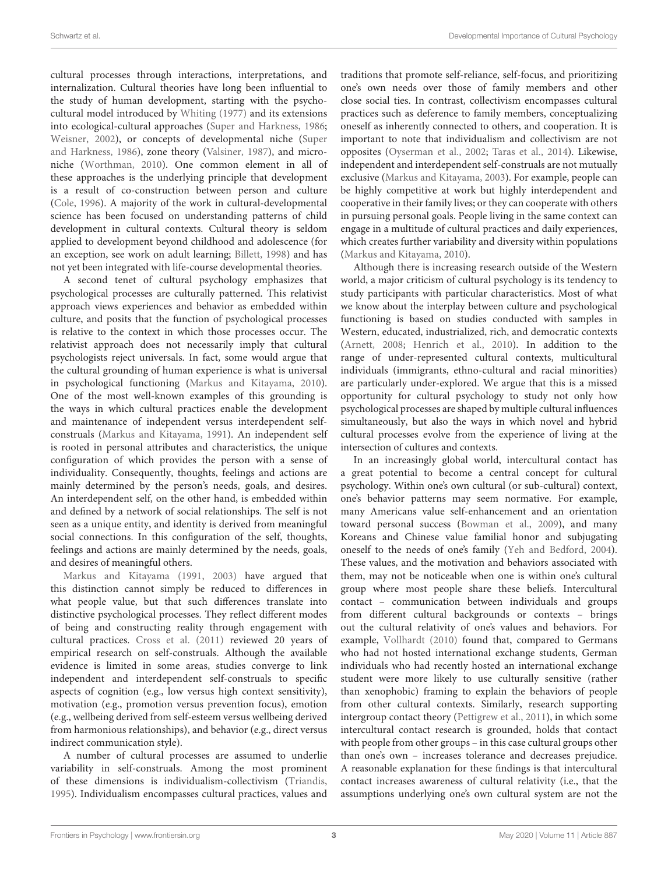cultural processes through interactions, interpretations, and internalization. Cultural theories have long been influential to the study of human development, starting with the psychocultural model introduced by [Whiting](#page-12-4) [\(1977\)](#page-12-4) and its extensions into ecological-cultural approaches [\(Super and Harkness,](#page-12-5) [1986;](#page-12-5) [Weisner,](#page-12-6) [2002\)](#page-12-6), or concepts of developmental niche [\(Super](#page-12-5) [and Harkness,](#page-12-5) [1986\)](#page-12-5), zone theory [\(Valsiner,](#page-12-7) [1987\)](#page-12-7), and microniche [\(Worthman,](#page-12-8) [2010\)](#page-12-8). One common element in all of these approaches is the underlying principle that development is a result of co-construction between person and culture [\(Cole,](#page-11-6) [1996\)](#page-11-6). A majority of the work in cultural-developmental science has been focused on understanding patterns of child development in cultural contexts. Cultural theory is seldom applied to development beyond childhood and adolescence (for an exception, see work on adult learning; [Billett,](#page-10-1) [1998\)](#page-10-1) and has not yet been integrated with life-course developmental theories.

A second tenet of cultural psychology emphasizes that psychological processes are culturally patterned. This relativist approach views experiences and behavior as embedded within culture, and posits that the function of psychological processes is relative to the context in which those processes occur. The relativist approach does not necessarily imply that cultural psychologists reject universals. In fact, some would argue that the cultural grounding of human experience is what is universal in psychological functioning [\(Markus and Kitayama,](#page-11-7) [2010\)](#page-11-7). One of the most well-known examples of this grounding is the ways in which cultural practices enable the development and maintenance of independent versus interdependent selfconstruals [\(Markus and Kitayama,](#page-11-8) [1991\)](#page-11-8). An independent self is rooted in personal attributes and characteristics, the unique configuration of which provides the person with a sense of individuality. Consequently, thoughts, feelings and actions are mainly determined by the person's needs, goals, and desires. An interdependent self, on the other hand, is embedded within and defined by a network of social relationships. The self is not seen as a unique entity, and identity is derived from meaningful social connections. In this configuration of the self, thoughts, feelings and actions are mainly determined by the needs, goals, and desires of meaningful others.

[Markus and Kitayama](#page-11-8) [\(1991,](#page-11-8) [2003\)](#page-11-9) have argued that this distinction cannot simply be reduced to differences in what people value, but that such differences translate into distinctive psychological processes. They reflect different modes of being and constructing reality through engagement with cultural practices. [Cross et al.](#page-11-10) [\(2011\)](#page-11-10) reviewed 20 years of empirical research on self-construals. Although the available evidence is limited in some areas, studies converge to link independent and interdependent self-construals to specific aspects of cognition (e.g., low versus high context sensitivity), motivation (e.g., promotion versus prevention focus), emotion (e.g., wellbeing derived from self-esteem versus wellbeing derived from harmonious relationships), and behavior (e.g., direct versus indirect communication style).

A number of cultural processes are assumed to underlie variability in self-construals. Among the most prominent of these dimensions is individualism-collectivism [\(Triandis,](#page-12-9) [1995\)](#page-12-9). Individualism encompasses cultural practices, values and

traditions that promote self-reliance, self-focus, and prioritizing one's own needs over those of family members and other close social ties. In contrast, collectivism encompasses cultural practices such as deference to family members, conceptualizing oneself as inherently connected to others, and cooperation. It is important to note that individualism and collectivism are not opposites [\(Oyserman et al.,](#page-12-10) [2002;](#page-12-10) [Taras et al.,](#page-12-11) [2014\)](#page-12-11). Likewise, independent and interdependent self-construals are not mutually exclusive [\(Markus and Kitayama,](#page-11-9) [2003\)](#page-11-9). For example, people can be highly competitive at work but highly interdependent and cooperative in their family lives; or they can cooperate with others in pursuing personal goals. People living in the same context can engage in a multitude of cultural practices and daily experiences, which creates further variability and diversity within populations [\(Markus and Kitayama,](#page-11-7) [2010\)](#page-11-7).

Although there is increasing research outside of the Western world, a major criticism of cultural psychology is its tendency to study participants with particular characteristics. Most of what we know about the interplay between culture and psychological functioning is based on studies conducted with samples in Western, educated, industrialized, rich, and democratic contexts [\(Arnett,](#page-10-2) [2008;](#page-10-2) [Henrich et al.,](#page-11-11) [2010\)](#page-11-11). In addition to the range of under-represented cultural contexts, multicultural individuals (immigrants, ethno-cultural and racial minorities) are particularly under-explored. We argue that this is a missed opportunity for cultural psychology to study not only how psychological processes are shaped by multiple cultural influences simultaneously, but also the ways in which novel and hybrid cultural processes evolve from the experience of living at the intersection of cultures and contexts.

In an increasingly global world, intercultural contact has a great potential to become a central concept for cultural psychology. Within one's own cultural (or sub-cultural) context, one's behavior patterns may seem normative. For example, many Americans value self-enhancement and an orientation toward personal success [\(Bowman et al.,](#page-10-3) [2009\)](#page-10-3), and many Koreans and Chinese value familial honor and subjugating oneself to the needs of one's family [\(Yeh and Bedford,](#page-12-12) [2004\)](#page-12-12). These values, and the motivation and behaviors associated with them, may not be noticeable when one is within one's cultural group where most people share these beliefs. Intercultural contact – communication between individuals and groups from different cultural backgrounds or contexts – brings out the cultural relativity of one's values and behaviors. For example, [Vollhardt](#page-12-13) [\(2010\)](#page-12-13) found that, compared to Germans who had not hosted international exchange students, German individuals who had recently hosted an international exchange student were more likely to use culturally sensitive (rather than xenophobic) framing to explain the behaviors of people from other cultural contexts. Similarly, research supporting intergroup contact theory [\(Pettigrew et al.,](#page-12-14) [2011\)](#page-12-14), in which some intercultural contact research is grounded, holds that contact with people from other groups – in this case cultural groups other than one's own – increases tolerance and decreases prejudice. A reasonable explanation for these findings is that intercultural contact increases awareness of cultural relativity (i.e., that the assumptions underlying one's own cultural system are not the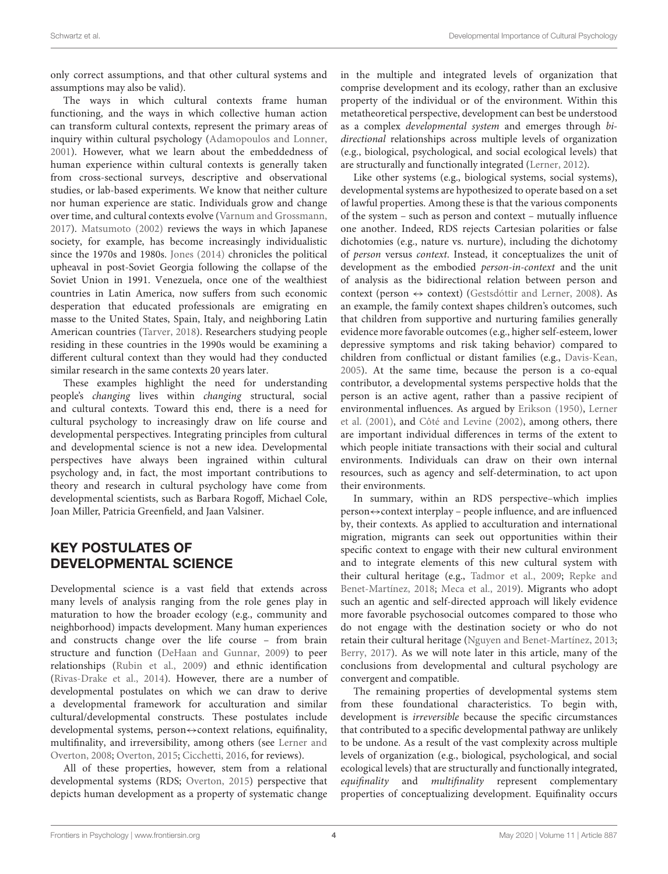only correct assumptions, and that other cultural systems and assumptions may also be valid).

The ways in which cultural contexts frame human functioning, and the ways in which collective human action can transform cultural contexts, represent the primary areas of inquiry within cultural psychology [\(Adamopoulos and Lonner,](#page-10-4) [2001\)](#page-10-4). However, what we learn about the embeddedness of human experience within cultural contexts is generally taken from cross-sectional surveys, descriptive and observational studies, or lab-based experiments. We know that neither culture nor human experience are static. Individuals grow and change over time, and cultural contexts evolve [\(Varnum and Grossmann,](#page-12-15) [2017\)](#page-12-15). [Matsumoto](#page-11-12) [\(2002\)](#page-11-12) reviews the ways in which Japanese society, for example, has become increasingly individualistic since the 1970s and 1980s. [Jones](#page-11-13) [\(2014\)](#page-11-13) chronicles the political upheaval in post-Soviet Georgia following the collapse of the Soviet Union in 1991. Venezuela, once one of the wealthiest countries in Latin America, now suffers from such economic desperation that educated professionals are emigrating en masse to the United States, Spain, Italy, and neighboring Latin American countries [\(Tarver,](#page-12-16) [2018\)](#page-12-16). Researchers studying people residing in these countries in the 1990s would be examining a different cultural context than they would had they conducted similar research in the same contexts 20 years later.

These examples highlight the need for understanding people's changing lives within changing structural, social and cultural contexts. Toward this end, there is a need for cultural psychology to increasingly draw on life course and developmental perspectives. Integrating principles from cultural and developmental science is not a new idea. Developmental perspectives have always been ingrained within cultural psychology and, in fact, the most important contributions to theory and research in cultural psychology have come from developmental scientists, such as Barbara Rogoff, Michael Cole, Joan Miller, Patricia Greenfield, and Jaan Valsiner.

# KEY POSTULATES OF DEVELOPMENTAL SCIENCE

Developmental science is a vast field that extends across many levels of analysis ranging from the role genes play in maturation to how the broader ecology (e.g., community and neighborhood) impacts development. Many human experiences and constructs change over the life course – from brain structure and function [\(DeHaan and Gunnar,](#page-11-14) [2009\)](#page-11-14) to peer relationships [\(Rubin et al.,](#page-12-17) [2009\)](#page-12-17) and ethnic identification [\(Rivas-Drake et al.,](#page-12-18) [2014\)](#page-12-18). However, there are a number of developmental postulates on which we can draw to derive a developmental framework for acculturation and similar cultural/developmental constructs. These postulates include developmental systems, person $\leftrightarrow$ context relations, equifinality, multifinality, and irreversibility, among others (see [Lerner and](#page-11-5) [Overton,](#page-11-5) [2008;](#page-11-5) [Overton,](#page-11-15) [2015;](#page-11-15) [Cicchetti,](#page-11-16) [2016,](#page-11-16) for reviews).

All of these properties, however, stem from a relational developmental systems (RDS; [Overton,](#page-11-15) [2015\)](#page-11-15) perspective that depicts human development as a property of systematic change in the multiple and integrated levels of organization that comprise development and its ecology, rather than an exclusive property of the individual or of the environment. Within this metatheoretical perspective, development can best be understood as a complex developmental system and emerges through bidirectional relationships across multiple levels of organization (e.g., biological, psychological, and social ecological levels) that are structurally and functionally integrated [\(Lerner,](#page-11-17) [2012\)](#page-11-17).

Like other systems (e.g., biological systems, social systems), developmental systems are hypothesized to operate based on a set of lawful properties. Among these is that the various components of the system – such as person and context – mutually influence one another. Indeed, RDS rejects Cartesian polarities or false dichotomies (e.g., nature vs. nurture), including the dichotomy of person versus context. Instead, it conceptualizes the unit of development as the embodied person-in-context and the unit of analysis as the bidirectional relation between person and context (person  $\leftrightarrow$  context) [\(Gestsdóttir and Lerner,](#page-11-18) [2008\)](#page-11-18). As an example, the family context shapes children's outcomes, such that children from supportive and nurturing families generally evidence more favorable outcomes (e.g., higher self-esteem, lower depressive symptoms and risk taking behavior) compared to children from conflictual or distant families (e.g., [Davis-Kean,](#page-11-19) [2005\)](#page-11-19). At the same time, because the person is a co-equal contributor, a developmental systems perspective holds that the person is an active agent, rather than a passive recipient of environmental influences. As argued by [Erikson](#page-11-20) [\(1950\)](#page-11-20), [Lerner](#page-11-21) [et al.](#page-11-21) [\(2001\)](#page-11-21), and [Côté and Levine](#page-11-22) [\(2002\)](#page-11-22), among others, there are important individual differences in terms of the extent to which people initiate transactions with their social and cultural environments. Individuals can draw on their own internal resources, such as agency and self-determination, to act upon their environments.

In summary, within an RDS perspective–which implies person⇔context interplay – people influence, and are influenced by, their contexts. As applied to acculturation and international migration, migrants can seek out opportunities within their specific context to engage with their new cultural environment and to integrate elements of this new cultural system with their cultural heritage (e.g., [Tadmor et al.,](#page-12-19) [2009;](#page-12-19) [Repke and](#page-12-20) [Benet-Martínez,](#page-12-20) [2018;](#page-12-20) [Meca et al.,](#page-11-23) [2019\)](#page-11-23). Migrants who adopt such an agentic and self-directed approach will likely evidence more favorable psychosocial outcomes compared to those who do not engage with the destination society or who do not retain their cultural heritage [\(Nguyen and Benet-Martínez,](#page-11-4) [2013;](#page-11-4) [Berry,](#page-10-0) [2017\)](#page-10-0). As we will note later in this article, many of the conclusions from developmental and cultural psychology are convergent and compatible.

The remaining properties of developmental systems stem from these foundational characteristics. To begin with, development is irreversible because the specific circumstances that contributed to a specific developmental pathway are unlikely to be undone. As a result of the vast complexity across multiple levels of organization (e.g., biological, psychological, and social ecological levels) that are structurally and functionally integrated, equifinality and multifinality represent complementary properties of conceptualizing development. Equifinality occurs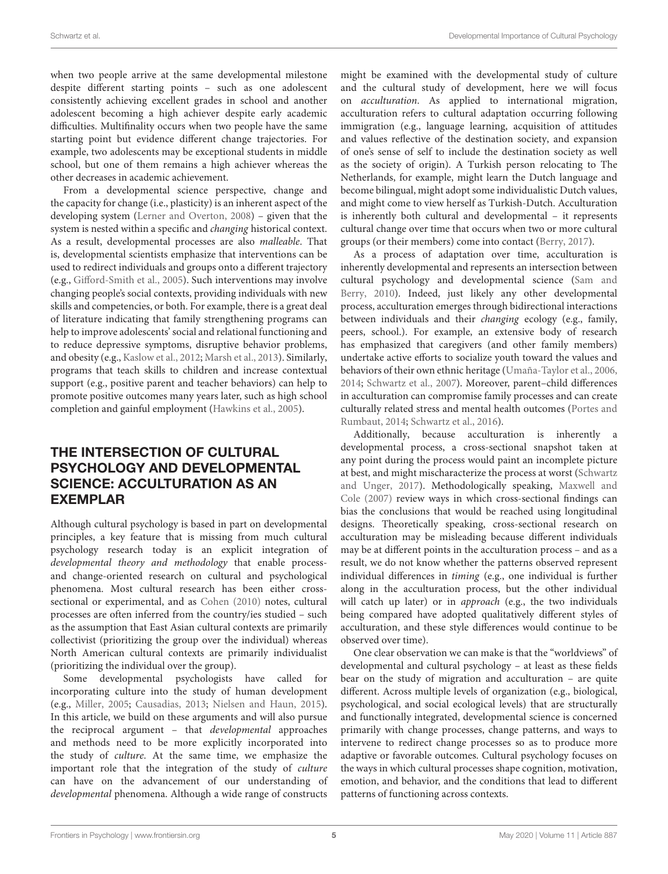when two people arrive at the same developmental milestone despite different starting points – such as one adolescent consistently achieving excellent grades in school and another adolescent becoming a high achiever despite early academic difficulties. Multifinality occurs when two people have the same starting point but evidence different change trajectories. For example, two adolescents may be exceptional students in middle school, but one of them remains a high achiever whereas the other decreases in academic achievement.

From a developmental science perspective, change and the capacity for change (i.e., plasticity) is an inherent aspect of the developing system [\(Lerner and Overton,](#page-11-5) [2008\)](#page-11-5) – given that the system is nested within a specific and changing historical context. As a result, developmental processes are also malleable. That is, developmental scientists emphasize that interventions can be used to redirect individuals and groups onto a different trajectory (e.g., [Gifford-Smith et al.,](#page-11-24) [2005\)](#page-11-24). Such interventions may involve changing people's social contexts, providing individuals with new skills and competencies, or both. For example, there is a great deal of literature indicating that family strengthening programs can help to improve adolescents' social and relational functioning and to reduce depressive symptoms, disruptive behavior problems, and obesity (e.g., [Kaslow et al.,](#page-11-25) [2012;](#page-11-25) [Marsh et al.,](#page-11-26) [2013\)](#page-11-26). Similarly, programs that teach skills to children and increase contextual support (e.g., positive parent and teacher behaviors) can help to promote positive outcomes many years later, such as high school completion and gainful employment [\(Hawkins et al.,](#page-11-27) [2005\)](#page-11-27).

# THE INTERSECTION OF CULTURAL PSYCHOLOGY AND DEVELOPMENTAL SCIENCE: ACCULTURATION AS AN EXEMPLAR

Although cultural psychology is based in part on developmental principles, a key feature that is missing from much cultural psychology research today is an explicit integration of developmental theory and methodology that enable processand change-oriented research on cultural and psychological phenomena. Most cultural research has been either crosssectional or experimental, and as [Cohen](#page-11-28) [\(2010\)](#page-11-28) notes, cultural processes are often inferred from the country/ies studied – such as the assumption that East Asian cultural contexts are primarily collectivist (prioritizing the group over the individual) whereas North American cultural contexts are primarily individualist (prioritizing the individual over the group).

Some developmental psychologists have called for incorporating culture into the study of human development (e.g., [Miller,](#page-11-29) [2005;](#page-11-29) [Causadias,](#page-10-5) [2013;](#page-10-5) [Nielsen and Haun,](#page-11-30) [2015\)](#page-11-30). In this article, we build on these arguments and will also pursue the reciprocal argument – that developmental approaches and methods need to be more explicitly incorporated into the study of culture. At the same time, we emphasize the important role that the integration of the study of culture can have on the advancement of our understanding of developmental phenomena. Although a wide range of constructs might be examined with the developmental study of culture and the cultural study of development, here we will focus on acculturation. As applied to international migration, acculturation refers to cultural adaptation occurring following immigration (e.g., language learning, acquisition of attitudes and values reflective of the destination society, and expansion of one's sense of self to include the destination society as well as the society of origin). A Turkish person relocating to The Netherlands, for example, might learn the Dutch language and become bilingual, might adopt some individualistic Dutch values, and might come to view herself as Turkish-Dutch. Acculturation is inherently both cultural and developmental – it represents cultural change over time that occurs when two or more cultural groups (or their members) come into contact [\(Berry,](#page-10-0) [2017\)](#page-10-0).

As a process of adaptation over time, acculturation is inherently developmental and represents an intersection between cultural psychology and developmental science [\(Sam and](#page-12-21) [Berry,](#page-12-21) [2010\)](#page-12-21). Indeed, just likely any other developmental process, acculturation emerges through bidirectional interactions between individuals and their changing ecology (e.g., family, peers, school.). For example, an extensive body of research has emphasized that caregivers (and other family members) undertake active efforts to socialize youth toward the values and behaviors of their own ethnic heritage [\(Umaña-Taylor et al.,](#page-12-22) [2006,](#page-12-22) [2014;](#page-12-23) [Schwartz et al.,](#page-12-24) [2007\)](#page-12-24). Moreover, parent–child differences in acculturation can compromise family processes and can create culturally related stress and mental health outcomes [\(Portes and](#page-12-25) [Rumbaut,](#page-12-25) [2014;](#page-12-25) [Schwartz et al.,](#page-12-26) [2016\)](#page-12-26).

Additionally, because acculturation is inherently a developmental process, a cross-sectional snapshot taken at any point during the process would paint an incomplete picture at best, and might mischaracterize the process at worst [\(Schwartz](#page-12-27) [and Unger,](#page-12-27) [2017\)](#page-12-27). Methodologically speaking, [Maxwell and](#page-11-31) [Cole](#page-11-31) [\(2007\)](#page-11-31) review ways in which cross-sectional findings can bias the conclusions that would be reached using longitudinal designs. Theoretically speaking, cross-sectional research on acculturation may be misleading because different individuals may be at different points in the acculturation process – and as a result, we do not know whether the patterns observed represent individual differences in timing (e.g., one individual is further along in the acculturation process, but the other individual will catch up later) or in approach (e.g., the two individuals being compared have adopted qualitatively different styles of acculturation, and these style differences would continue to be observed over time).

One clear observation we can make is that the "worldviews" of developmental and cultural psychology – at least as these fields bear on the study of migration and acculturation – are quite different. Across multiple levels of organization (e.g., biological, psychological, and social ecological levels) that are structurally and functionally integrated, developmental science is concerned primarily with change processes, change patterns, and ways to intervene to redirect change processes so as to produce more adaptive or favorable outcomes. Cultural psychology focuses on the ways in which cultural processes shape cognition, motivation, emotion, and behavior, and the conditions that lead to different patterns of functioning across contexts.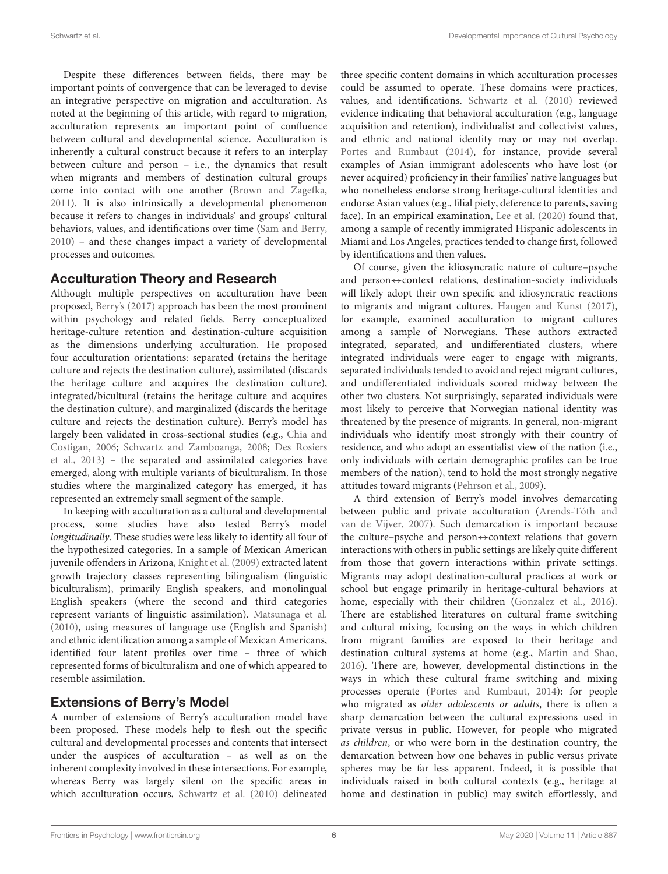Despite these differences between fields, there may be important points of convergence that can be leveraged to devise an integrative perspective on migration and acculturation. As noted at the beginning of this article, with regard to migration, acculturation represents an important point of confluence between cultural and developmental science. Acculturation is inherently a cultural construct because it refers to an interplay between culture and person – i.e., the dynamics that result when migrants and members of destination cultural groups come into contact with one another [\(Brown and Zagefka,](#page-10-6) [2011\)](#page-10-6). It is also intrinsically a developmental phenomenon because it refers to changes in individuals' and groups' cultural behaviors, values, and identifications over time [\(Sam and Berry,](#page-12-21) [2010\)](#page-12-21) – and these changes impact a variety of developmental processes and outcomes.

#### Acculturation Theory and Research

Although multiple perspectives on acculturation have been proposed, [Berry'](#page-10-0)s [\(2017\)](#page-10-0) approach has been the most prominent within psychology and related fields. Berry conceptualized heritage-culture retention and destination-culture acquisition as the dimensions underlying acculturation. He proposed four acculturation orientations: separated (retains the heritage culture and rejects the destination culture), assimilated (discards the heritage culture and acquires the destination culture), integrated/bicultural (retains the heritage culture and acquires the destination culture), and marginalized (discards the heritage culture and rejects the destination culture). Berry's model has largely been validated in cross-sectional studies (e.g., [Chia and](#page-11-32) [Costigan,](#page-11-32) [2006;](#page-11-32) [Schwartz and Zamboanga,](#page-12-28) [2008;](#page-12-28) [Des Rosiers](#page-11-33) [et al.,](#page-11-33) [2013\)](#page-11-33) – the separated and assimilated categories have emerged, along with multiple variants of biculturalism. In those studies where the marginalized category has emerged, it has represented an extremely small segment of the sample.

In keeping with acculturation as a cultural and developmental process, some studies have also tested Berry's model longitudinally. These studies were less likely to identify all four of the hypothesized categories. In a sample of Mexican American juvenile offenders in Arizona, [Knight et al.](#page-11-34) [\(2009\)](#page-11-34) extracted latent growth trajectory classes representing bilingualism (linguistic biculturalism), primarily English speakers, and monolingual English speakers (where the second and third categories represent variants of linguistic assimilation). [Matsunaga et al.](#page-11-35) [\(2010\)](#page-11-35), using measures of language use (English and Spanish) and ethnic identification among a sample of Mexican Americans, identified four latent profiles over time – three of which represented forms of biculturalism and one of which appeared to resemble assimilation.

# Extensions of Berry's Model

A number of extensions of Berry's acculturation model have been proposed. These models help to flesh out the specific cultural and developmental processes and contents that intersect under the auspices of acculturation – as well as on the inherent complexity involved in these intersections. For example, whereas Berry was largely silent on the specific areas in which acculturation occurs, [Schwartz et al.](#page-12-29) [\(2010\)](#page-12-29) delineated

three specific content domains in which acculturation processes could be assumed to operate. These domains were practices, values, and identifications. [Schwartz et al.](#page-12-29) [\(2010\)](#page-12-29) reviewed evidence indicating that behavioral acculturation (e.g., language acquisition and retention), individualist and collectivist values, and ethnic and national identity may or may not overlap. [Portes and Rumbaut](#page-12-25) [\(2014\)](#page-12-25), for instance, provide several examples of Asian immigrant adolescents who have lost (or never acquired) proficiency in their families' native languages but who nonetheless endorse strong heritage-cultural identities and endorse Asian values (e.g., filial piety, deference to parents, saving face). In an empirical examination, [Lee et al.](#page-11-36) [\(2020\)](#page-11-36) found that, among a sample of recently immigrated Hispanic adolescents in Miami and Los Angeles, practices tended to change first, followed by identifications and then values.

Of course, given the idiosyncratic nature of culture–psyche and person $\Leftrightarrow$  context relations, destination-society individuals will likely adopt their own specific and idiosyncratic reactions to migrants and migrant cultures. [Haugen and Kunst](#page-11-37) [\(2017\)](#page-11-37), for example, examined acculturation to migrant cultures among a sample of Norwegians. These authors extracted integrated, separated, and undifferentiated clusters, where integrated individuals were eager to engage with migrants, separated individuals tended to avoid and reject migrant cultures, and undifferentiated individuals scored midway between the other two clusters. Not surprisingly, separated individuals were most likely to perceive that Norwegian national identity was threatened by the presence of migrants. In general, non-migrant individuals who identify most strongly with their country of residence, and who adopt an essentialist view of the nation (i.e., only individuals with certain demographic profiles can be true members of the nation), tend to hold the most strongly negative attitudes toward migrants [\(Pehrson et al.,](#page-12-30) [2009\)](#page-12-30).

A third extension of Berry's model involves demarcating between public and private acculturation [\(Arends-Tóth and](#page-10-7) [van de Vijver,](#page-10-7) [2007\)](#page-10-7). Such demarcation is important because the culture–psyche and person⇔context relations that govern interactions with others in public settings are likely quite different from those that govern interactions within private settings. Migrants may adopt destination-cultural practices at work or school but engage primarily in heritage-cultural behaviors at home, especially with their children [\(Gonzalez et al.,](#page-11-38) [2016\)](#page-11-38). There are established literatures on cultural frame switching and cultural mixing, focusing on the ways in which children from migrant families are exposed to their heritage and destination cultural systems at home (e.g., [Martin and Shao,](#page-11-39) [2016\)](#page-11-39). There are, however, developmental distinctions in the ways in which these cultural frame switching and mixing processes operate [\(Portes and Rumbaut,](#page-12-25) [2014\)](#page-12-25): for people who migrated as older adolescents or adults, there is often a sharp demarcation between the cultural expressions used in private versus in public. However, for people who migrated as children, or who were born in the destination country, the demarcation between how one behaves in public versus private spheres may be far less apparent. Indeed, it is possible that individuals raised in both cultural contexts (e.g., heritage at home and destination in public) may switch effortlessly, and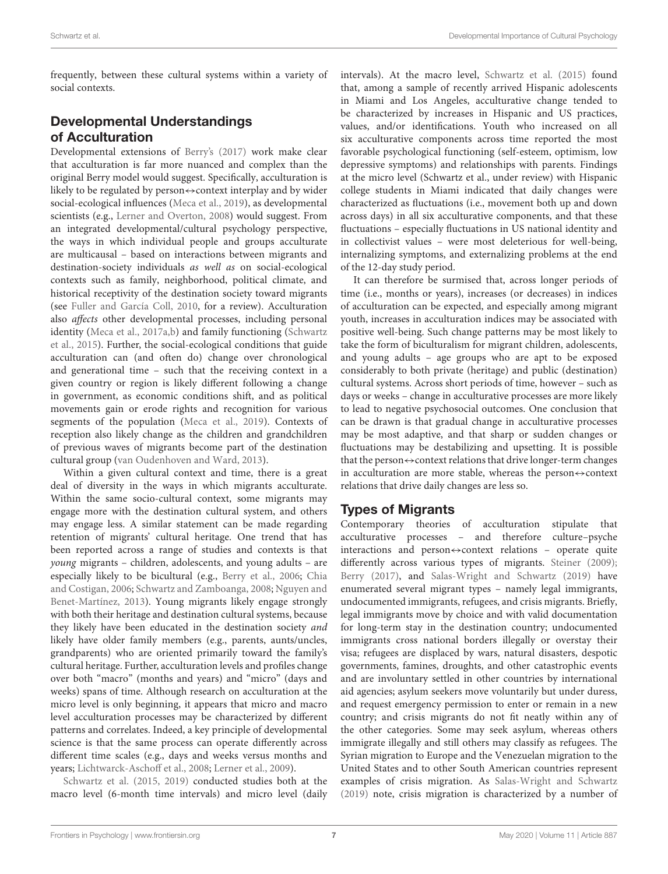frequently, between these cultural systems within a variety of social contexts.

# Developmental Understandings of Acculturation

Developmental extensions of [Berry's](#page-10-0) [\(2017\)](#page-10-0) work make clear that acculturation is far more nuanced and complex than the original Berry model would suggest. Specifically, acculturation is likely to be regulated by person⇔context interplay and by wider social-ecological influences [\(Meca et al.,](#page-11-23) [2019\)](#page-11-23), as developmental scientists (e.g., [Lerner and Overton,](#page-11-5) [2008\)](#page-11-5) would suggest. From an integrated developmental/cultural psychology perspective, the ways in which individual people and groups acculturate are multicausal – based on interactions between migrants and destination-society individuals as well as on social-ecological contexts such as family, neighborhood, political climate, and historical receptivity of the destination society toward migrants (see [Fuller and García Coll,](#page-11-40) [2010,](#page-11-40) for a review). Acculturation also affects other developmental processes, including personal identity [\(Meca et al.,](#page-11-41) [2017a](#page-11-41)[,b\)](#page-11-42) and family functioning [\(Schwartz](#page-12-31) [et al.,](#page-12-31) [2015\)](#page-12-31). Further, the social-ecological conditions that guide acculturation can (and often do) change over chronological and generational time – such that the receiving context in a given country or region is likely different following a change in government, as economic conditions shift, and as political movements gain or erode rights and recognition for various segments of the population [\(Meca et al.,](#page-11-23) [2019\)](#page-11-23). Contexts of reception also likely change as the children and grandchildren of previous waves of migrants become part of the destination cultural group [\(van Oudenhoven and Ward,](#page-12-32) [2013\)](#page-12-32).

Within a given cultural context and time, there is a great deal of diversity in the ways in which migrants acculturate. Within the same socio-cultural context, some migrants may engage more with the destination cultural system, and others may engage less. A similar statement can be made regarding retention of migrants' cultural heritage. One trend that has been reported across a range of studies and contexts is that young migrants – children, adolescents, and young adults – are especially likely to be bicultural (e.g., [Berry et al.,](#page-10-8) [2006;](#page-10-8) [Chia](#page-11-32) [and Costigan,](#page-11-32) [2006;](#page-11-32) [Schwartz and Zamboanga,](#page-12-28) [2008;](#page-12-28) [Nguyen and](#page-11-4) [Benet-Martínez,](#page-11-4) [2013\)](#page-11-4). Young migrants likely engage strongly with both their heritage and destination cultural systems, because they likely have been educated in the destination society and likely have older family members (e.g., parents, aunts/uncles, grandparents) who are oriented primarily toward the family's cultural heritage. Further, acculturation levels and profiles change over both "macro" (months and years) and "micro" (days and weeks) spans of time. Although research on acculturation at the micro level is only beginning, it appears that micro and macro level acculturation processes may be characterized by different patterns and correlates. Indeed, a key principle of developmental science is that the same process can operate differently across different time scales (e.g., days and weeks versus months and years; [Lichtwarck-Aschoff et al.,](#page-11-43) [2008;](#page-11-43) [Lerner et al.,](#page-11-44) [2009\)](#page-11-44).

[Schwartz et al.](#page-12-31) [\(2015,](#page-12-31) [2019\)](#page-12-33) conducted studies both at the macro level (6-month time intervals) and micro level (daily intervals). At the macro level, [Schwartz et al.](#page-12-31) [\(2015\)](#page-12-31) found that, among a sample of recently arrived Hispanic adolescents in Miami and Los Angeles, acculturative change tended to be characterized by increases in Hispanic and US practices, values, and/or identifications. Youth who increased on all six acculturative components across time reported the most favorable psychological functioning (self-esteem, optimism, low depressive symptoms) and relationships with parents. Findings at the micro level (Schwartz et al., under review) with Hispanic college students in Miami indicated that daily changes were characterized as fluctuations (i.e., movement both up and down across days) in all six acculturative components, and that these fluctuations – especially fluctuations in US national identity and in collectivist values – were most deleterious for well-being, internalizing symptoms, and externalizing problems at the end of the 12-day study period.

It can therefore be surmised that, across longer periods of time (i.e., months or years), increases (or decreases) in indices of acculturation can be expected, and especially among migrant youth, increases in acculturation indices may be associated with positive well-being. Such change patterns may be most likely to take the form of biculturalism for migrant children, adolescents, and young adults – age groups who are apt to be exposed considerably to both private (heritage) and public (destination) cultural systems. Across short periods of time, however – such as days or weeks – change in acculturative processes are more likely to lead to negative psychosocial outcomes. One conclusion that can be drawn is that gradual change in acculturative processes may be most adaptive, and that sharp or sudden changes or fluctuations may be destabilizing and upsetting. It is possible that the person $\leftrightarrow$ context relations that drive longer-term changes in acculturation are more stable, whereas the person⇔context relations that drive daily changes are less so.

### Types of Migrants

Contemporary theories of acculturation stipulate that acculturative processes – and therefore culture–psyche interactions and person $\Leftrightarrow$  context relations – operate quite differently across various types of migrants. [Steiner](#page-12-34) [\(2009\)](#page-12-34); [Berry](#page-10-0) [\(2017\)](#page-10-0), and [Salas-Wright and Schwartz](#page-12-35) [\(2019\)](#page-12-35) have enumerated several migrant types – namely legal immigrants, undocumented immigrants, refugees, and crisis migrants. Briefly, legal immigrants move by choice and with valid documentation for long-term stay in the destination country; undocumented immigrants cross national borders illegally or overstay their visa; refugees are displaced by wars, natural disasters, despotic governments, famines, droughts, and other catastrophic events and are involuntary settled in other countries by international aid agencies; asylum seekers move voluntarily but under duress, and request emergency permission to enter or remain in a new country; and crisis migrants do not fit neatly within any of the other categories. Some may seek asylum, whereas others immigrate illegally and still others may classify as refugees. The Syrian migration to Europe and the Venezuelan migration to the United States and to other South American countries represent examples of crisis migration. As [Salas-Wright and Schwartz](#page-12-35) [\(2019\)](#page-12-35) note, crisis migration is characterized by a number of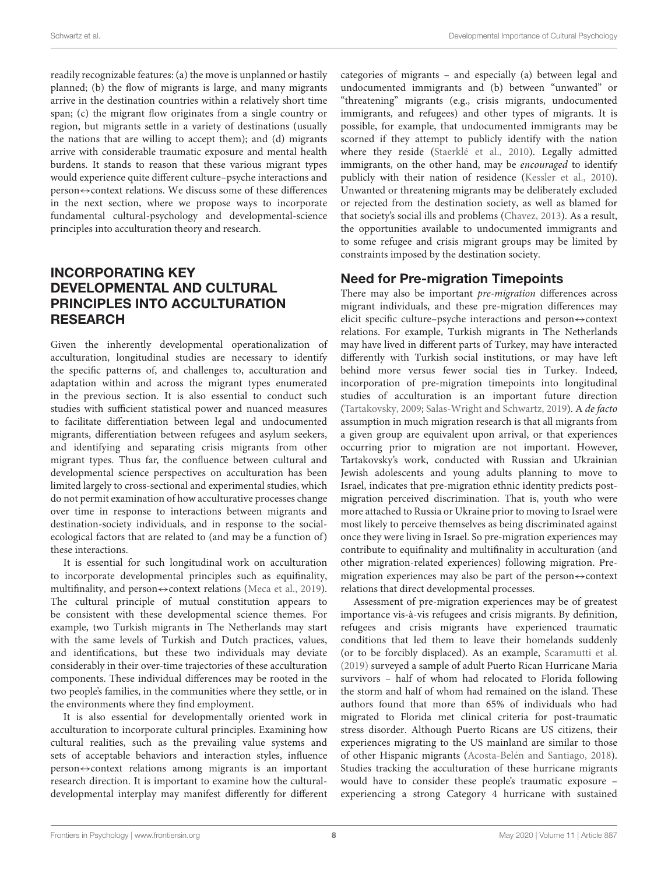readily recognizable features: (a) the move is unplanned or hastily planned; (b) the flow of migrants is large, and many migrants arrive in the destination countries within a relatively short time span; (c) the migrant flow originates from a single country or region, but migrants settle in a variety of destinations (usually the nations that are willing to accept them); and (d) migrants arrive with considerable traumatic exposure and mental health burdens. It stands to reason that these various migrant types would experience quite different culture–psyche interactions and person⇔context relations. We discuss some of these differences in the next section, where we propose ways to incorporate fundamental cultural-psychology and developmental-science principles into acculturation theory and research.

# INCORPORATING KEY DEVELOPMENTAL AND CULTURAL PRINCIPLES INTO ACCULTURATION RESEARCH

Given the inherently developmental operationalization of acculturation, longitudinal studies are necessary to identify the specific patterns of, and challenges to, acculturation and adaptation within and across the migrant types enumerated in the previous section. It is also essential to conduct such studies with sufficient statistical power and nuanced measures to facilitate differentiation between legal and undocumented migrants, differentiation between refugees and asylum seekers, and identifying and separating crisis migrants from other migrant types. Thus far, the confluence between cultural and developmental science perspectives on acculturation has been limited largely to cross-sectional and experimental studies, which do not permit examination of how acculturative processes change over time in response to interactions between migrants and destination-society individuals, and in response to the socialecological factors that are related to (and may be a function of) these interactions.

It is essential for such longitudinal work on acculturation to incorporate developmental principles such as equifinality, multifinality, and person⇔context relations [\(Meca et al.,](#page-11-23) [2019\)](#page-11-23). The cultural principle of mutual constitution appears to be consistent with these developmental science themes. For example, two Turkish migrants in The Netherlands may start with the same levels of Turkish and Dutch practices, values, and identifications, but these two individuals may deviate considerably in their over-time trajectories of these acculturation components. These individual differences may be rooted in the two people's families, in the communities where they settle, or in the environments where they find employment.

It is also essential for developmentally oriented work in acculturation to incorporate cultural principles. Examining how cultural realities, such as the prevailing value systems and sets of acceptable behaviors and interaction styles, influence person↔context relations among migrants is an important research direction. It is important to examine how the culturaldevelopmental interplay may manifest differently for different categories of migrants – and especially (a) between legal and undocumented immigrants and (b) between "unwanted" or "threatening" migrants (e.g., crisis migrants, undocumented immigrants, and refugees) and other types of migrants. It is possible, for example, that undocumented immigrants may be scorned if they attempt to publicly identify with the nation where they reside [\(Staerklé et al.,](#page-12-36) [2010\)](#page-12-36). Legally admitted immigrants, on the other hand, may be encouraged to identify publicly with their nation of residence [\(Kessler et al.,](#page-11-45) [2010\)](#page-11-45). Unwanted or threatening migrants may be deliberately excluded or rejected from the destination society, as well as blamed for that society's social ills and problems [\(Chavez,](#page-11-46) [2013\)](#page-11-46). As a result, the opportunities available to undocumented immigrants and to some refugee and crisis migrant groups may be limited by constraints imposed by the destination society.

### Need for Pre-migration Timepoints

There may also be important pre-migration differences across migrant individuals, and these pre-migration differences may elicit specific culture–psyche interactions and person⇔context relations. For example, Turkish migrants in The Netherlands may have lived in different parts of Turkey, may have interacted differently with Turkish social institutions, or may have left behind more versus fewer social ties in Turkey. Indeed, incorporation of pre-migration timepoints into longitudinal studies of acculturation is an important future direction [\(Tartakovsky,](#page-12-37) [2009;](#page-12-37) [Salas-Wright and Schwartz,](#page-12-35) [2019\)](#page-12-35). A de facto assumption in much migration research is that all migrants from a given group are equivalent upon arrival, or that experiences occurring prior to migration are not important. However, Tartakovsky's work, conducted with Russian and Ukrainian Jewish adolescents and young adults planning to move to Israel, indicates that pre-migration ethnic identity predicts postmigration perceived discrimination. That is, youth who were more attached to Russia or Ukraine prior to moving to Israel were most likely to perceive themselves as being discriminated against once they were living in Israel. So pre-migration experiences may contribute to equifinality and multifinality in acculturation (and other migration-related experiences) following migration. Premigration experiences may also be part of the person $\leftrightarrow$ context relations that direct developmental processes.

Assessment of pre-migration experiences may be of greatest importance vis-à-vis refugees and crisis migrants. By definition, refugees and crisis migrants have experienced traumatic conditions that led them to leave their homelands suddenly (or to be forcibly displaced). As an example, [Scaramutti et al.](#page-12-38) [\(2019\)](#page-12-38) surveyed a sample of adult Puerto Rican Hurricane Maria survivors – half of whom had relocated to Florida following the storm and half of whom had remained on the island. These authors found that more than 65% of individuals who had migrated to Florida met clinical criteria for post-traumatic stress disorder. Although Puerto Ricans are US citizens, their experiences migrating to the US mainland are similar to those of other Hispanic migrants [\(Acosta-Belén and Santiago,](#page-10-9) [2018\)](#page-10-9). Studies tracking the acculturation of these hurricane migrants would have to consider these people's traumatic exposure – experiencing a strong Category 4 hurricane with sustained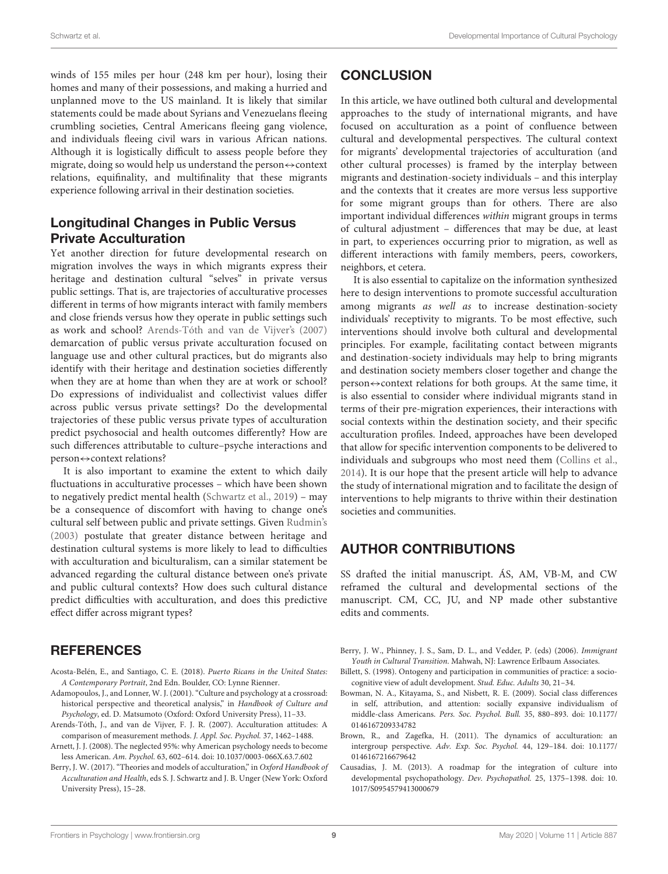winds of 155 miles per hour (248 km per hour), losing their homes and many of their possessions, and making a hurried and unplanned move to the US mainland. It is likely that similar statements could be made about Syrians and Venezuelans fleeing crumbling societies, Central Americans fleeing gang violence, and individuals fleeing civil wars in various African nations. Although it is logistically difficult to assess people before they migrate, doing so would help us understand the person $\leftrightarrow$ context relations, equifinality, and multifinality that these migrants experience following arrival in their destination societies.

## Longitudinal Changes in Public Versus Private Acculturation

Yet another direction for future developmental research on migration involves the ways in which migrants express their heritage and destination cultural "selves" in private versus public settings. That is, are trajectories of acculturative processes different in terms of how migrants interact with family members and close friends versus how they operate in public settings such as work and school? [Arends-Tóth and van de Vijver'](#page-10-7)s [\(2007\)](#page-10-7) demarcation of public versus private acculturation focused on language use and other cultural practices, but do migrants also identify with their heritage and destination societies differently when they are at home than when they are at work or school? Do expressions of individualist and collectivist values differ across public versus private settings? Do the developmental trajectories of these public versus private types of acculturation predict psychosocial and health outcomes differently? How are such differences attributable to culture–psyche interactions and person⇔context relations?

It is also important to examine the extent to which daily fluctuations in acculturative processes – which have been shown to negatively predict mental health [\(Schwartz et al.,](#page-12-33) [2019\)](#page-12-33) – may be a consequence of discomfort with having to change one's cultural self between public and private settings. Given [Rudmin'](#page-12-39)s [\(2003\)](#page-12-39) postulate that greater distance between heritage and destination cultural systems is more likely to lead to difficulties with acculturation and biculturalism, can a similar statement be advanced regarding the cultural distance between one's private and public cultural contexts? How does such cultural distance predict difficulties with acculturation, and does this predictive effect differ across migrant types?

### **REFERENCES**

- <span id="page-10-9"></span>Acosta-Belén, E., and Santiago, C. E. (2018). Puerto Ricans in the United States: A Contemporary Portrait, 2nd Edn. Boulder, CO: Lynne Rienner.
- <span id="page-10-4"></span>Adamopoulos, J., and Lonner, W. J. (2001). "Culture and psychology at a crossroad: historical perspective and theoretical analysis," in Handbook of Culture and Psychology, ed. D. Matsumoto (Oxford: Oxford University Press), 11–33.
- <span id="page-10-7"></span>Arends-Tóth, J., and van de Vijver, F. J. R. (2007). Acculturation attitudes: A comparison of measurement methods. J. Appl. Soc. Psychol. 37, 1462–1488.
- <span id="page-10-2"></span>Arnett, J. J. (2008). The neglected 95%: why American psychology needs to become less American. Am. Psychol. 63, 602–614. [doi: 10.1037/0003-066X.63.7.602](https://doi.org/10.1037/0003-066X.63.7.602)
- <span id="page-10-0"></span>Berry, J. W. (2017). "Theories and models of acculturation," in Oxford Handbook of Acculturation and Health, eds S. J. Schwartz and J. B. Unger (New York: Oxford University Press), 15–28.

## **CONCLUSION**

In this article, we have outlined both cultural and developmental approaches to the study of international migrants, and have focused on acculturation as a point of confluence between cultural and developmental perspectives. The cultural context for migrants' developmental trajectories of acculturation (and other cultural processes) is framed by the interplay between migrants and destination-society individuals – and this interplay and the contexts that it creates are more versus less supportive for some migrant groups than for others. There are also important individual differences within migrant groups in terms of cultural adjustment – differences that may be due, at least in part, to experiences occurring prior to migration, as well as different interactions with family members, peers, coworkers, neighbors, et cetera.

It is also essential to capitalize on the information synthesized here to design interventions to promote successful acculturation among migrants as well as to increase destination-society individuals' receptivity to migrants. To be most effective, such interventions should involve both cultural and developmental principles. For example, facilitating contact between migrants and destination-society individuals may help to bring migrants and destination society members closer together and change the person⇔context relations for both groups. At the same time, it is also essential to consider where individual migrants stand in terms of their pre-migration experiences, their interactions with social contexts within the destination society, and their specific acculturation profiles. Indeed, approaches have been developed that allow for specific intervention components to be delivered to individuals and subgroups who most need them [\(Collins et al.,](#page-11-47) [2014\)](#page-11-47). It is our hope that the present article will help to advance the study of international migration and to facilitate the design of interventions to help migrants to thrive within their destination societies and communities.

# AUTHOR CONTRIBUTIONS

SS drafted the initial manuscript. ÁS, AM, VB-M, and CW reframed the cultural and developmental sections of the manuscript. CM, CC, JU, and NP made other substantive edits and comments.

- <span id="page-10-8"></span>Berry, J. W., Phinney, J. S., Sam, D. L., and Vedder, P. (eds) (2006). Immigrant Youth in Cultural Transition. Mahwah, NJ: Lawrence Erlbaum Associates.
- <span id="page-10-1"></span>Billett, S. (1998). Ontogeny and participation in communities of practice: a sociocognitive view of adult development. Stud. Educ. Adults 30, 21–34.
- <span id="page-10-3"></span>Bowman, N. A., Kitayama, S., and Nisbett, R. E. (2009). Social class differences in self, attribution, and attention: socially expansive individualism of middle-class Americans. Pers. Soc. Psychol. Bull. 35, 880–893. [doi: 10.1177/](https://doi.org/10.1177/0146167209334782) [0146167209334782](https://doi.org/10.1177/0146167209334782)
- <span id="page-10-6"></span>Brown, R., and Zagefka, H. (2011). The dynamics of acculturation: an intergroup perspective. Adv. Exp. Soc. Psychol. 44, 129–184. [doi: 10.1177/](https://doi.org/10.1177/0146167216679642) [0146167216679642](https://doi.org/10.1177/0146167216679642)
- <span id="page-10-5"></span>Causadias, J. M. (2013). A roadmap for the integration of culture into developmental psychopathology. Dev. Psychopathol. 25, 1375–1398. [doi: 10.](https://doi.org/10.1017/S0954579413000679) [1017/S0954579413000679](https://doi.org/10.1017/S0954579413000679)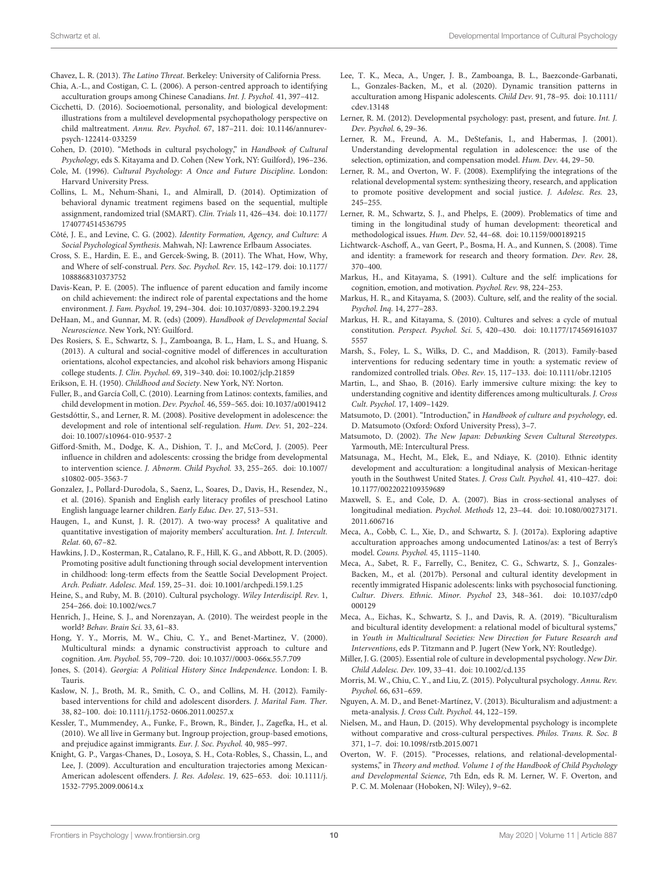<span id="page-11-46"></span>Chavez, L. R. (2013). The Latino Threat. Berkeley: University of California Press.

- <span id="page-11-32"></span>Chia, A.-L., and Costigan, C. L. (2006). A person-centred approach to identifying acculturation groups among Chinese Canadians. Int. J. Psychol. 41, 397–412.
- <span id="page-11-16"></span>Cicchetti, D. (2016). Socioemotional, personality, and biological development: illustrations from a multilevel developmental psychopathology perspective on child maltreatment. Annu. Rev. Psychol. 67, 187–211. [doi: 10.1146/annurev](https://doi.org/10.1146/annurev-psych-122414-033259)[psych-122414-033259](https://doi.org/10.1146/annurev-psych-122414-033259)
- <span id="page-11-28"></span>Cohen, D. (2010). "Methods in cultural psychology," in Handbook of Cultural Psychology, eds S. Kitayama and D. Cohen (New York, NY: Guilford), 196–236.
- <span id="page-11-6"></span>Cole, M. (1996). Cultural Psychology: A Once and Future Discipline. London: Harvard University Press.
- <span id="page-11-47"></span>Collins, L. M., Nehum-Shani, I., and Almirall, D. (2014). Optimization of behavioral dynamic treatment regimens based on the sequential, multiple assignment, randomized trial (SMART). Clin. Trials 11, 426–434. [doi: 10.1177/](https://doi.org/10.1177/1740774514536795) [1740774514536795](https://doi.org/10.1177/1740774514536795)
- <span id="page-11-22"></span>Côté, J. E., and Levine, C. G. (2002). Identity Formation, Agency, and Culture: A Social Psychological Synthesis. Mahwah, NJ: Lawrence Erlbaum Associates.
- <span id="page-11-10"></span>Cross, S. E., Hardin, E. E., and Gercek-Swing, B. (2011). The What, How, Why, and Where of self-construal. Pers. Soc. Psychol. Rev. 15, 142–179. [doi: 10.1177/](https://doi.org/10.1177/1088868310373752) [1088868310373752](https://doi.org/10.1177/1088868310373752)
- <span id="page-11-19"></span>Davis-Kean, P. E. (2005). The influence of parent education and family income on child achievement: the indirect role of parental expectations and the home environment. J. Fam. Psychol. 19, 294–304. [doi: 10.1037/0893-3200.19.2.294](https://doi.org/10.1037/0893-3200.19.2.294)
- <span id="page-11-14"></span>DeHaan, M., and Gunnar, M. R. (eds) (2009). Handbook of Developmental Social Neuroscience. New York, NY: Guilford.
- <span id="page-11-33"></span>Des Rosiers, S. E., Schwartz, S. J., Zamboanga, B. L., Ham, L. S., and Huang, S. (2013). A cultural and social-cognitive model of differences in acculturation orientations, alcohol expectancies, and alcohol risk behaviors among Hispanic college students. J. Clin. Psychol. 69, 319–340. [doi: 10.1002/jclp.21859](https://doi.org/10.1002/jclp.21859)
- <span id="page-11-20"></span>Erikson, E. H. (1950). Childhood and Society. New York, NY: Norton.
- <span id="page-11-40"></span>Fuller, B., and García Coll, C. (2010). Learning from Latinos: contexts, families, and child development in motion. Dev. Psychol. 46, 559–565. [doi: 10.1037/a0019412](https://doi.org/10.1037/a0019412)
- <span id="page-11-18"></span>Gestsdóttir, S., and Lerner, R. M. (2008). Positive development in adolescence: the development and role of intentional self-regulation. Hum. Dev. 51, 202–224. [doi: 10.1007/s10964-010-9537-2](https://doi.org/10.1007/s10964-010-9537-2)
- <span id="page-11-24"></span>Gifford-Smith, M., Dodge, K. A., Dishion, T. J., and McCord, J. (2005). Peer influence in children and adolescents: crossing the bridge from developmental to intervention science. J. Abnorm. Child Psychol. 33, 255–265. [doi: 10.1007/](https://doi.org/10.1007/s10802-005-3563-7) [s10802-005-3563-7](https://doi.org/10.1007/s10802-005-3563-7)
- <span id="page-11-38"></span>Gonzalez, J., Pollard-Durodola, S., Saenz, L., Soares, D., Davis, H., Resendez, N., et al. (2016). Spanish and English early literacy profiles of preschool Latino English language learner children. Early Educ. Dev. 27, 513–531.
- <span id="page-11-37"></span>Haugen, I., and Kunst, J. R. (2017). A two-way process? A qualitative and quantitative investigation of majority members' acculturation. Int. J. Intercult. Relat. 60, 67–82.
- <span id="page-11-27"></span>Hawkins, J. D., Kosterman, R., Catalano, R. F., Hill, K. G., and Abbott, R. D. (2005). Promoting positive adult functioning through social development intervention in childhood: long-term effects from the Seattle Social Development Project. Arch. Pediatr. Adolesc. Med. 159, 25–31. [doi: 10.1001/archpedi.159.1.25](https://doi.org/10.1001/archpedi.159.1.25)
- <span id="page-11-0"></span>Heine, S., and Ruby, M. B. (2010). Cultural psychology. Wiley Interdiscipl. Rev. 1, 254–266. [doi: 10.1002/wcs.7](https://doi.org/10.1002/wcs.7)
- <span id="page-11-11"></span>Henrich, J., Heine, S. J., and Norenzayan, A. (2010). The weirdest people in the world? Behav. Brain Sci. 33, 61–83.
- <span id="page-11-3"></span>Hong, Y. Y., Morris, M. W., Chiu, C. Y., and Benet-Martinez, V. (2000). Multicultural minds: a dynamic constructivist approach to culture and cognition. Am. Psychol. 55, 709–720. [doi: 10.1037//0003-066x.55.7.709](https://doi.org/10.1037//0003-066x.55.7.709)
- <span id="page-11-13"></span>Jones, S. (2014). Georgia: A Political History Since Independence. London: I. B. Tauris.
- <span id="page-11-25"></span>Kaslow, N. J., Broth, M. R., Smith, C. O., and Collins, M. H. (2012). Familybased interventions for child and adolescent disorders. J. Marital Fam. Ther. 38, 82–100. [doi: 10.1111/j.1752-0606.2011.00257.x](https://doi.org/10.1111/j.1752-0606.2011.00257.x)
- <span id="page-11-45"></span>Kessler, T., Mummendey, A., Funke, F., Brown, R., Binder, J., Zagefka, H., et al. (2010). We all live in Germany but. Ingroup projection, group-based emotions, and prejudice against immigrants. Eur. J. Soc. Psychol. 40, 985–997.
- <span id="page-11-34"></span>Knight, G. P., Vargas-Chanes, D., Losoya, S. H., Cota-Robles, S., Chassin, L., and Lee, J. (2009). Acculturation and enculturation trajectories among Mexican-American adolescent offenders. J. Res. Adolesc. 19, 625–653. [doi: 10.1111/j.](https://doi.org/10.1111/j.1532-7795.2009.00614.x) [1532-7795.2009.00614.x](https://doi.org/10.1111/j.1532-7795.2009.00614.x)
- <span id="page-11-36"></span>Lee, T. K., Meca, A., Unger, J. B., Zamboanga, B. L., Baezconde-Garbanati, L., Gonzales-Backen, M., et al. (2020). Dynamic transition patterns in acculturation among Hispanic adolescents. Child Dev. 91, 78–95. [doi: 10.1111/](https://doi.org/10.1111/cdev.13148) [cdev.13148](https://doi.org/10.1111/cdev.13148)
- <span id="page-11-17"></span>Lerner, R. M. (2012). Developmental psychology: past, present, and future. Int. J. Dev. Psychol. 6, 29–36.
- <span id="page-11-21"></span>Lerner, R. M., Freund, A. M., DeStefanis, I., and Habermas, J. (2001). Understanding developmental regulation in adolescence: the use of the selection, optimization, and compensation model. Hum. Dev. 44, 29–50.
- <span id="page-11-5"></span>Lerner, R. M., and Overton, W. F. (2008). Exemplifying the integrations of the relational developmental system: synthesizing theory, research, and application to promote positive development and social justice. J. Adolesc. Res. 23, 245–255.
- <span id="page-11-44"></span>Lerner, R. M., Schwartz, S. J., and Phelps, E. (2009). Problematics of time and timing in the longitudinal study of human development: theoretical and methodological issues. Hum. Dev. 52, 44–68. [doi: 10.1159/000189215](https://doi.org/10.1159/000189215)
- <span id="page-11-43"></span>Lichtwarck-Aschoff, A., van Geert, P., Bosma, H. A., and Kunnen, S. (2008). Time and identity: a framework for research and theory formation. Dev. Rev. 28, 370–400.
- <span id="page-11-8"></span>Markus, H., and Kitayama, S. (1991). Culture and the self: implications for cognition, emotion, and motivation. Psychol. Rev. 98, 224–253.
- <span id="page-11-9"></span>Markus, H. R., and Kitayama, S. (2003). Culture, self, and the reality of the social. Psychol. Inq. 14, 277–283.
- <span id="page-11-7"></span>Markus, H. R., and Kitayama, S. (2010). Cultures and selves: a cycle of mutual constitution. Perspect. Psychol. Sci. 5, 420–430. [doi: 10.1177/174569161037](https://doi.org/10.1177/1745691610375557) [5557](https://doi.org/10.1177/1745691610375557)
- <span id="page-11-26"></span>Marsh, S., Foley, L. S., Wilks, D. C., and Maddison, R. (2013). Family-based interventions for reducing sedentary time in youth: a systematic review of randomized controlled trials. Obes. Rev. 15, 117–133. [doi: 10.1111/obr.12105](https://doi.org/10.1111/obr.12105)
- <span id="page-11-39"></span>Martin, L., and Shao, B. (2016). Early immersive culture mixing: the key to understanding cognitive and identity differences among multiculturals. J. Cross Cult. Psychol. 17, 1409–1429.
- <span id="page-11-1"></span>Matsumoto, D. (2001). "Introduction," in Handbook of culture and psychology, ed. D. Matsumoto (Oxford: Oxford University Press), 3–7.
- <span id="page-11-12"></span>Matsumoto, D. (2002). The New Japan: Debunking Seven Cultural Stereotypes. Yarmouth, ME: Intercultural Press.
- <span id="page-11-35"></span>Matsunaga, M., Hecht, M., Elek, E., and Ndiaye, K. (2010). Ethnic identity development and acculturation: a longitudinal analysis of Mexican-heritage youth in the Southwest United States. J. Cross Cult. Psychol. 41, 410–427. [doi:](https://doi.org/10.1177/0022022109359689) [10.1177/0022022109359689](https://doi.org/10.1177/0022022109359689)
- <span id="page-11-31"></span>Maxwell, S. E., and Cole, D. A. (2007). Bias in cross-sectional analyses of longitudinal mediation. Psychol. Methods 12, 23–44. [doi: 10.1080/00273171.](https://doi.org/10.1080/00273171.2011.606716) [2011.606716](https://doi.org/10.1080/00273171.2011.606716)
- <span id="page-11-41"></span>Meca, A., Cobb, C. L., Xie, D., and Schwartz, S. J. (2017a). Exploring adaptive acculturation approaches among undocumented Latinos/as: a test of Berry's model. Couns. Psychol. 45, 1115–1140.
- <span id="page-11-42"></span>Meca, A., Sabet, R. F., Farrelly, C., Benitez, C. G., Schwartz, S. J., Gonzales-Backen, M., et al. (2017b). Personal and cultural identity development in recently immigrated Hispanic adolescents: links with psychosocial functioning. Cultur. Divers. Ethnic. Minor. Psychol 23, 348–361. [doi: 10.1037/cdp0](https://doi.org/10.1037/cdp0000129) [000129](https://doi.org/10.1037/cdp0000129)
- <span id="page-11-23"></span>Meca, A., Eichas, K., Schwartz, S. J., and Davis, R. A. (2019). "Biculturalism and bicultural identity development: a relational model of bicultural systems," in Youth in Multicultural Societies: New Direction for Future Research and Interventions, eds P. Titzmann and P. Jugert (New York, NY: Routledge).
- <span id="page-11-29"></span>Miller, J. G. (2005). Essential role of culture in developmental psychology. New Dir. Child Adolesc. Dev. 109, 33–41. [doi: 10.1002/cd.135](https://doi.org/10.1002/cd.135)
- <span id="page-11-2"></span>Morris, M. W., Chiu, C. Y., and Liu, Z. (2015). Polycultural psychology. Annu. Rev. Psychol. 66, 631–659.
- <span id="page-11-4"></span>Nguyen, A. M. D., and Benet-Martínez, V. (2013). Biculturalism and adjustment: a meta-analysis. J. Cross Cult. Psychol. 44, 122–159.
- <span id="page-11-30"></span>Nielsen, M., and Haun, D. (2015). Why developmental psychology is incomplete without comparative and cross-cultural perspectives. Philos. Trans. R. Soc. B 371, 1–7. [doi: 10.1098/rstb.2015.0071](https://doi.org/10.1098/rstb.2015.0071)
- <span id="page-11-15"></span>Overton, W. F. (2015). "Processes, relations, and relational-developmentalsystems," in Theory and method. Volume 1 of the Handbook of Child Psychology and Developmental Science, 7th Edn, eds R. M. Lerner, W. F. Overton, and P. C. M. Molenaar (Hoboken, NJ: Wiley), 9–62.